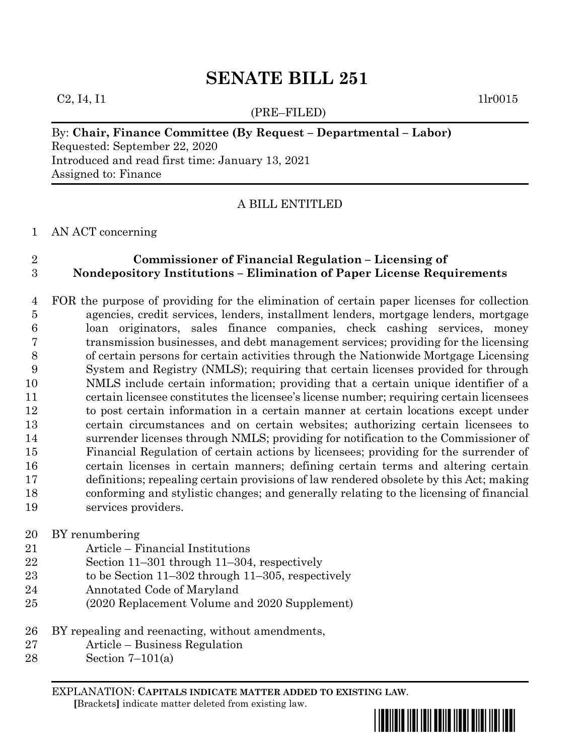### $C_2$ , I4, I1 1lr0015

(PRE–FILED)

### By: **Chair, Finance Committee (By Request – Departmental – Labor)**

Requested: September 22, 2020 Introduced and read first time: January 13, 2021 Assigned to: Finance

## A BILL ENTITLED

#### AN ACT concerning

# **Commissioner of Financial Regulation – Licensing of Nondepository Institutions – Elimination of Paper License Requirements**

 FOR the purpose of providing for the elimination of certain paper licenses for collection agencies, credit services, lenders, installment lenders, mortgage lenders, mortgage loan originators, sales finance companies, check cashing services, money transmission businesses, and debt management services; providing for the licensing of certain persons for certain activities through the Nationwide Mortgage Licensing System and Registry (NMLS); requiring that certain licenses provided for through NMLS include certain information; providing that a certain unique identifier of a certain licensee constitutes the licensee's license number; requiring certain licensees to post certain information in a certain manner at certain locations except under certain circumstances and on certain websites; authorizing certain licensees to surrender licenses through NMLS; providing for notification to the Commissioner of Financial Regulation of certain actions by licensees; providing for the surrender of certain licenses in certain manners; defining certain terms and altering certain definitions; repealing certain provisions of law rendered obsolete by this Act; making conforming and stylistic changes; and generally relating to the licensing of financial services providers.

### BY renumbering

- Article Financial Institutions
- Section 11–301 through 11–304, respectively
- to be Section 11–302 through 11–305, respectively
- Annotated Code of Maryland
- (2020 Replacement Volume and 2020 Supplement)
- BY repealing and reenacting, without amendments,
- Article Business Regulation
- Section 7–101(a)

EXPLANATION: **CAPITALS INDICATE MATTER ADDED TO EXISTING LAW**.  **[**Brackets**]** indicate matter deleted from existing law.

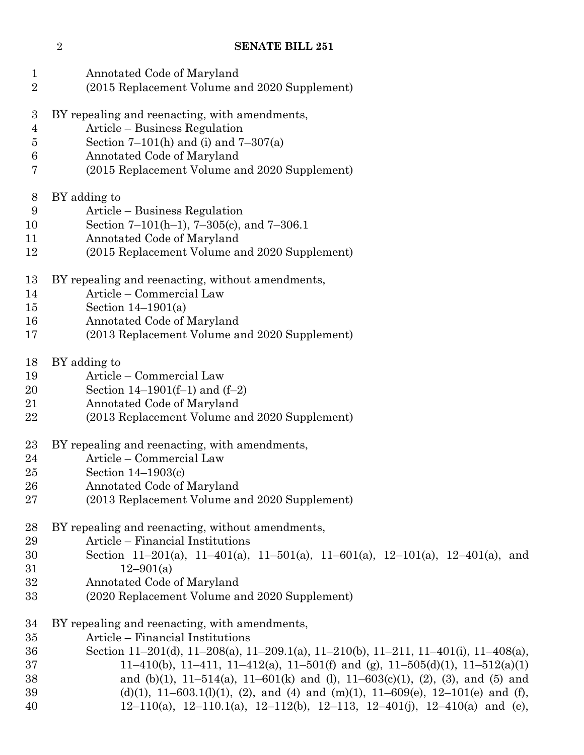| $\mathbf{1}$<br>$\overline{2}$ | Annotated Code of Maryland<br>(2015 Replacement Volume and 2020 Supplement)         |
|--------------------------------|-------------------------------------------------------------------------------------|
| 3                              | BY repealing and reenacting, with amendments,                                       |
| 4                              | Article – Business Regulation                                                       |
| $\bf 5$                        | Section $7-101(h)$ and (i) and $7-307(a)$                                           |
| $\boldsymbol{6}$               | Annotated Code of Maryland                                                          |
| 7                              | (2015 Replacement Volume and 2020 Supplement)                                       |
| 8                              | BY adding to                                                                        |
| 9                              | Article – Business Regulation                                                       |
| 10                             | Section 7–101(h–1), 7–305(c), and 7–306.1                                           |
| 11                             | Annotated Code of Maryland                                                          |
| 12                             | (2015 Replacement Volume and 2020 Supplement)                                       |
| 13                             | BY repealing and reenacting, without amendments,                                    |
| 14                             | Article - Commercial Law                                                            |
| 15                             | Section $14-1901(a)$                                                                |
| 16                             | Annotated Code of Maryland                                                          |
| 17                             | (2013 Replacement Volume and 2020 Supplement)                                       |
| 18                             | BY adding to                                                                        |
| 19                             | Article - Commercial Law                                                            |
| 20                             | Section $14-1901(f-1)$ and $(f-2)$                                                  |
| 21                             | Annotated Code of Maryland                                                          |
| 22                             | (2013 Replacement Volume and 2020 Supplement)                                       |
| 23                             | BY repealing and reenacting, with amendments,                                       |
| 24                             | Article – Commercial Law                                                            |
| 25                             | Section $14-1903(c)$                                                                |
| 26                             | Annotated Code of Maryland                                                          |
| 27                             | (2013 Replacement Volume and 2020 Supplement)                                       |
| 28                             | BY repealing and reenacting, without amendments,                                    |
| 29                             | Article – Financial Institutions                                                    |
| 30                             | Section 11-201(a), 11-401(a), 11-501(a), 11-601(a), 12-101(a), 12-401(a), and       |
| 31                             | $12 - 901(a)$                                                                       |
| 32                             | Annotated Code of Maryland                                                          |
| 33                             | (2020 Replacement Volume and 2020 Supplement)                                       |
| 34                             | BY repealing and reenacting, with amendments,                                       |
| 35                             | Article – Financial Institutions                                                    |
| 36                             | Section 11-201(d), 11-208(a), 11-209.1(a), 11-210(b), 11-211, 11-401(i), 11-408(a), |
| 37                             | 11–410(b), 11–411, 11–412(a), 11–501(f) and (g), 11–505(d)(1), 11–512(a)(1)         |
| 38                             | and (b)(1), 11-514(a), 11-601(k) and (l), 11-603(c)(1), (2), (3), and (5) and       |
| 39                             | (d)(1), 11-603.1(l)(1), (2), and (4) and (m)(1), 11-609(e), 12-101(e) and (f),      |
| 40                             | 12-110(a), 12-110.1(a), 12-112(b), 12-113, 12-401(j), 12-410(a) and (e),            |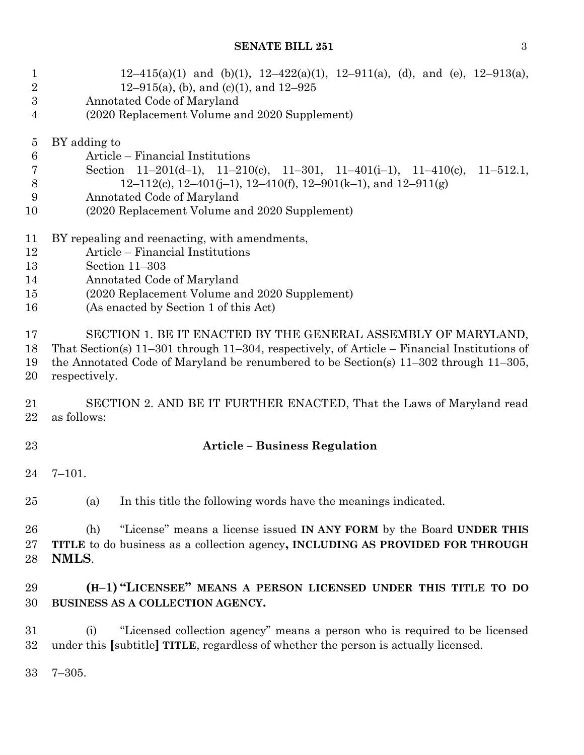| $\mathbf{1}$<br>$\boldsymbol{2}$ | $12-415(a)(1)$ and (b)(1), $12-422(a)(1)$ , $12-911(a)$ , (d), and (e), $12-913(a)$ ,<br>12–915(a), (b), and (c)(1), and $12-925$ |
|----------------------------------|-----------------------------------------------------------------------------------------------------------------------------------|
| $\boldsymbol{3}$                 | Annotated Code of Maryland                                                                                                        |
| 4                                | (2020 Replacement Volume and 2020 Supplement)                                                                                     |
|                                  |                                                                                                                                   |
| $\overline{5}$                   | BY adding to                                                                                                                      |
| $6\phantom{.}6$                  | Article – Financial Institutions                                                                                                  |
| 7                                | Section $11-201(d-1)$ , $11-210(c)$ , $11-301$ , $11-401(i-1)$ , $11-410(c)$ ,<br>$11 - 512.1$ ,                                  |
| 8                                | 12–112(c), 12–401(j–1), 12–410(f), 12–901(k–1), and 12–911(g)                                                                     |
| 9                                | Annotated Code of Maryland                                                                                                        |
| 10                               | (2020 Replacement Volume and 2020 Supplement)                                                                                     |
| 11                               | BY repealing and reenacting, with amendments,                                                                                     |
| 12                               | Article – Financial Institutions                                                                                                  |
| 13                               | Section 11-303                                                                                                                    |
| 14                               | Annotated Code of Maryland                                                                                                        |
| 15                               | (2020 Replacement Volume and 2020 Supplement)                                                                                     |
| 16                               | (As enacted by Section 1 of this Act)                                                                                             |
| 17                               | SECTION 1. BE IT ENACTED BY THE GENERAL ASSEMBLY OF MARYLAND,                                                                     |
| 18                               | That Section(s) $11-301$ through $11-304$ , respectively, of Article – Financial Institutions of                                  |
| 19                               | the Annotated Code of Maryland be renumbered to be Section(s) $11-302$ through $11-305$ ,                                         |
| 20                               | respectively.                                                                                                                     |
|                                  |                                                                                                                                   |
| 21                               | SECTION 2. AND BE IT FURTHER ENACTED, That the Laws of Maryland read                                                              |
| 22                               | as follows:                                                                                                                       |
| 23                               | <b>Article - Business Regulation</b>                                                                                              |
| 24                               | $7 - 101.$                                                                                                                        |
|                                  |                                                                                                                                   |
| 25                               | In this title the following words have the meanings indicated.<br>(a)                                                             |
| 26                               | "License" means a license issued IN ANY FORM by the Board UNDER THIS<br>(h)                                                       |
| 27                               | TITLE to do business as a collection agency, INCLUDING AS PROVIDED FOR THROUGH                                                    |
| 28                               | NMLS.                                                                                                                             |
| 29                               | (H-1) "LICENSEE" MEANS A PERSON LICENSED UNDER THIS TITLE TO DO                                                                   |
| 30                               | BUSINESS AS A COLLECTION AGENCY.                                                                                                  |
| 31                               | "Licensed collection agency" means a person who is required to be licensed<br>(i)                                                 |
| 32                               | under this [subtitle] TITLE, regardless of whether the person is actually licensed.                                               |
|                                  |                                                                                                                                   |

7–305.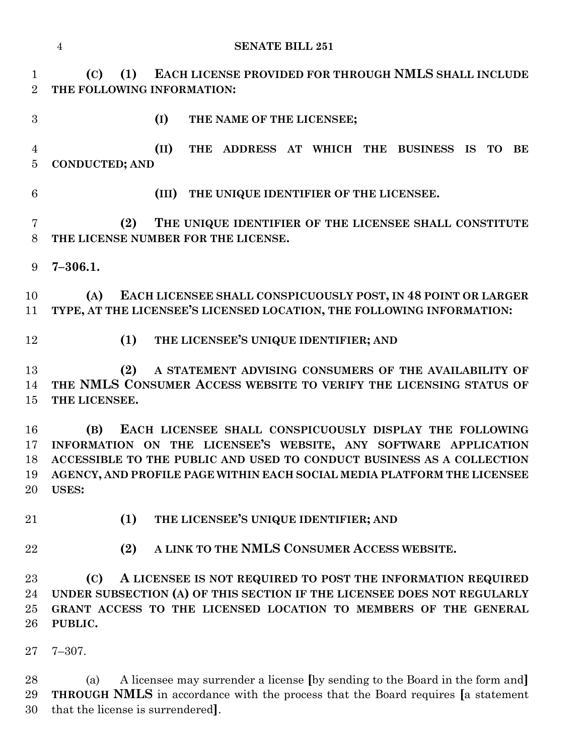|                                  | <b>SENATE BILL 251</b><br>$\overline{4}$                                                                                                                                                                                                                                                              |
|----------------------------------|-------------------------------------------------------------------------------------------------------------------------------------------------------------------------------------------------------------------------------------------------------------------------------------------------------|
| $\mathbf{1}$<br>$\overline{2}$   | EACH LICENSE PROVIDED FOR THROUGH NMLS SHALL INCLUDE<br>(1)<br>(C)<br>THE FOLLOWING INFORMATION:                                                                                                                                                                                                      |
| 3                                | (I)<br>THE NAME OF THE LICENSEE;                                                                                                                                                                                                                                                                      |
| $\overline{4}$<br>$\overline{5}$ | (II)<br><b>THE</b><br>ADDRESS AT WHICH THE BUSINESS IS<br><b>TO</b><br>BE<br><b>CONDUCTED; AND</b>                                                                                                                                                                                                    |
| 6                                | THE UNIQUE IDENTIFIER OF THE LICENSEE.<br>(III)                                                                                                                                                                                                                                                       |
| $\overline{7}$<br>8              | (2)<br>THE UNIQUE IDENTIFIER OF THE LICENSEE SHALL CONSTITUTE<br>THE LICENSE NUMBER FOR THE LICENSE.                                                                                                                                                                                                  |
| 9                                | $7 - 306.1.$                                                                                                                                                                                                                                                                                          |
| 10<br>11                         | EACH LICENSEE SHALL CONSPICUOUSLY POST, IN 48 POINT OR LARGER<br>(A)<br>TYPE, AT THE LICENSEE'S LICENSED LOCATION, THE FOLLOWING INFORMATION:                                                                                                                                                         |
| 12                               | (1)<br>THE LICENSEE'S UNIQUE IDENTIFIER; AND                                                                                                                                                                                                                                                          |
| 13<br>14<br>15                   | A STATEMENT ADVISING CONSUMERS OF THE AVAILABILITY OF<br>(2)<br>THE NMLS CONSUMER ACCESS WEBSITE TO VERIFY THE LICENSING STATUS OF<br>THE LICENSEE.                                                                                                                                                   |
| 16<br>17<br>18<br>19<br>20       | EACH LICENSEE SHALL CONSPICUOUSLY DISPLAY THE FOLLOWING<br>(B)<br>INFORMATION ON THE LICENSEE'S WEBSITE, ANY SOFTWARE APPLICATION<br>ACCESSIBLE TO THE PUBLIC AND USED TO CONDUCT BUSINESS AS A COLLECTION<br>AGENCY, AND PROFILE PAGE WITHIN EACH SOCIAL MEDIA PLATFORM THE LICENSEE<br><b>USES:</b> |
| 21                               | THE LICENSEE'S UNIQUE IDENTIFIER; AND<br>(1)                                                                                                                                                                                                                                                          |
| 22                               | A LINK TO THE NMLS CONSUMER ACCESS WEBSITE.<br>(2)                                                                                                                                                                                                                                                    |
| 23<br>24<br>25<br>26<br>$27\,$   | A LICENSEE IS NOT REQUIRED TO POST THE INFORMATION REQUIRED<br>(C)<br>UNDER SUBSECTION (A) OF THIS SECTION IF THE LICENSEE DOES NOT REGULARLY<br>GRANT ACCESS TO THE LICENSED LOCATION TO MEMBERS OF THE GENERAL<br>PUBLIC.<br>$7 - 307.$                                                             |

 (a) A licensee may surrender a license **[**by sending to the Board in the form and**] THROUGH NMLS** in accordance with the process that the Board requires **[**a statement that the license is surrendered**]**.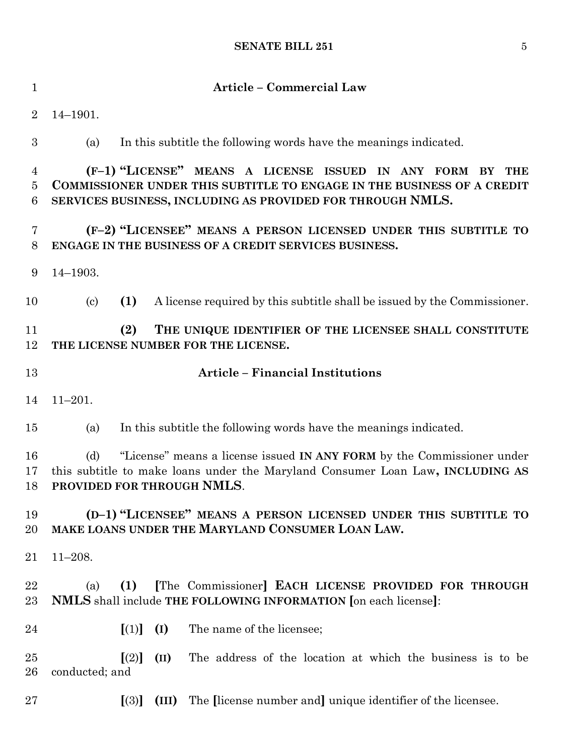| $\mathbf{1}$                                        | <b>Article - Commercial Law</b>                                                                                                                                                                                       |
|-----------------------------------------------------|-----------------------------------------------------------------------------------------------------------------------------------------------------------------------------------------------------------------------|
| $\overline{2}$                                      | $14 - 1901.$                                                                                                                                                                                                          |
| 3                                                   | In this subtitle the following words have the meanings indicated.<br>(a)                                                                                                                                              |
| $\overline{4}$<br>$\overline{5}$<br>$6\phantom{.}6$ | (F-1) "LICENSE" MEANS A LICENSE ISSUED IN ANY FORM<br><b>THE</b><br>BY<br><b>COMMISSIONER UNDER THIS SUBTITLE TO ENGAGE IN THE BUSINESS OF A CREDIT</b><br>SERVICES BUSINESS, INCLUDING AS PROVIDED FOR THROUGH NMLS. |
| 7<br>8                                              | (F-2) "LICENSEE" MEANS A PERSON LICENSED UNDER THIS SUBTITLE TO<br>ENGAGE IN THE BUSINESS OF A CREDIT SERVICES BUSINESS.                                                                                              |
| 9                                                   | $14 - 1903.$                                                                                                                                                                                                          |
| 10                                                  | (1)<br>A license required by this subtitle shall be issued by the Commissioner.<br>$\left( \mathrm{c}\right)$                                                                                                         |
| 11<br>12                                            | (2)<br>THE UNIQUE IDENTIFIER OF THE LICENSEE SHALL CONSTITUTE<br>THE LICENSE NUMBER FOR THE LICENSE.                                                                                                                  |
| 13                                                  | <b>Article - Financial Institutions</b>                                                                                                                                                                               |
| 14                                                  | $11 - 201.$                                                                                                                                                                                                           |
| 15                                                  | In this subtitle the following words have the meanings indicated.<br>(a)                                                                                                                                              |
| 16<br>17<br>18                                      | "License" means a license issued IN ANY FORM by the Commissioner under<br>(d)<br>this subtitle to make loans under the Maryland Consumer Loan Law, INCLUDING AS<br>PROVIDED FOR THROUGH NMLS.                         |
| 19<br>20                                            | (D-1) "LICENSEE" MEANS A PERSON LICENSED UNDER THIS SUBTITLE TO<br>MAKE LOANS UNDER THE MARYLAND CONSUMER LOAN LAW.                                                                                                   |
| 21                                                  | $11 - 208.$                                                                                                                                                                                                           |
| 22<br>23                                            | [The Commissioner] EACH LICENSE PROVIDED FOR THROUGH<br>(1)<br>(a)<br>NMLS shall include THE FOLLOWING INFORMATION [on each license]:                                                                                 |
| $\bf{24}$                                           | [(1)]<br>(I)<br>The name of the licensee;                                                                                                                                                                             |
| 25<br>26                                            | [(2)]<br>The address of the location at which the business is to be<br>(II)<br>conducted; and                                                                                                                         |
| 27                                                  | The license number and unique identifier of the licensee.<br>(III)<br>[(3)]                                                                                                                                           |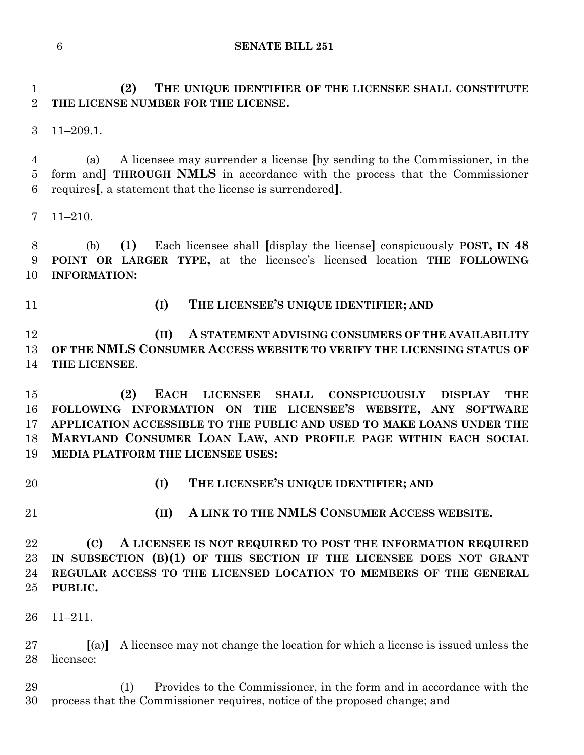**(2) THE UNIQUE IDENTIFIER OF THE LICENSEE SHALL CONSTITUTE THE LICENSE NUMBER FOR THE LICENSE.**

11–209.1.

 (a) A licensee may surrender a license **[**by sending to the Commissioner, in the form and**] THROUGH NMLS** in accordance with the process that the Commissioner requires**[**, a statement that the license is surrendered**]**.

11–210.

 (b) **(1)** Each licensee shall **[**display the license**]** conspicuously **POST, IN 48 POINT OR LARGER TYPE,** at the licensee's licensed location **THE FOLLOWING INFORMATION:**

# **(I) THE LICENSEE'S UNIQUE IDENTIFIER; AND**

 **(II) A STATEMENT ADVISING CONSUMERS OF THE AVAILABILITY OF THE NMLS CONSUMER ACCESS WEBSITE TO VERIFY THE LICENSING STATUS OF THE LICENSEE**.

 **(2) EACH LICENSEE SHALL CONSPICUOUSLY DISPLAY THE FOLLOWING INFORMATION ON THE LICENSEE'S WEBSITE, ANY SOFTWARE APPLICATION ACCESSIBLE TO THE PUBLIC AND USED TO MAKE LOANS UNDER THE MARYLAND CONSUMER LOAN LAW, AND PROFILE PAGE WITHIN EACH SOCIAL MEDIA PLATFORM THE LICENSEE USES:**

- 
- **(I) THE LICENSEE'S UNIQUE IDENTIFIER; AND**
- 
- **(II) A LINK TO THE NMLS CONSUMER ACCESS WEBSITE.**

 **(C) A LICENSEE IS NOT REQUIRED TO POST THE INFORMATION REQUIRED IN SUBSECTION (B)(1) OF THIS SECTION IF THE LICENSEE DOES NOT GRANT REGULAR ACCESS TO THE LICENSED LOCATION TO MEMBERS OF THE GENERAL PUBLIC.**

11–211.

 **[**(a)**]** A licensee may not change the location for which a license is issued unless the licensee:

 (1) Provides to the Commissioner, in the form and in accordance with the process that the Commissioner requires, notice of the proposed change; and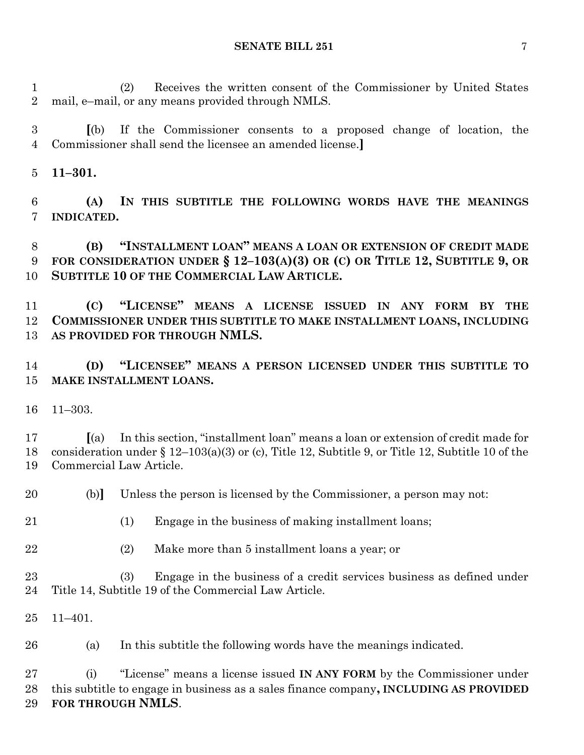(2) Receives the written consent of the Commissioner by United States mail, e–mail, or any means provided through NMLS.

 **[**(b) If the Commissioner consents to a proposed change of location, the Commissioner shall send the licensee an amended license.**]**

**11–301.**

 **(A) IN THIS SUBTITLE THE FOLLOWING WORDS HAVE THE MEANINGS INDICATED.**

 **(B) "INSTALLMENT LOAN" MEANS A LOAN OR EXTENSION OF CREDIT MADE FOR CONSIDERATION UNDER § 12–103(A)(3) OR (C) OR TITLE 12, SUBTITLE 9, OR SUBTITLE 10 OF THE COMMERCIAL LAW ARTICLE.**

 **(C) "LICENSE" MEANS A LICENSE ISSUED IN ANY FORM BY THE COMMISSIONER UNDER THIS SUBTITLE TO MAKE INSTALLMENT LOANS, INCLUDING AS PROVIDED FOR THROUGH NMLS.**

 **(D) "LICENSEE" MEANS A PERSON LICENSED UNDER THIS SUBTITLE TO MAKE INSTALLMENT LOANS.**

11–303.

 **[**(a) In this section, "installment loan" means a loan or extension of credit made for consideration under § 12–103(a)(3) or (c), Title 12, Subtitle 9, or Title 12, Subtitle 10 of the Commercial Law Article.

(b)**]** Unless the person is licensed by the Commissioner, a person may not:

- (1) Engage in the business of making installment loans;
- (2) Make more than 5 installment loans a year; or

 (3) Engage in the business of a credit services business as defined under Title 14, Subtitle 19 of the Commercial Law Article.

11–401.

(a) In this subtitle the following words have the meanings indicated.

 (i) "License" means a license issued **IN ANY FORM** by the Commissioner under this subtitle to engage in business as a sales finance company**, INCLUDING AS PROVIDED FOR THROUGH NMLS**.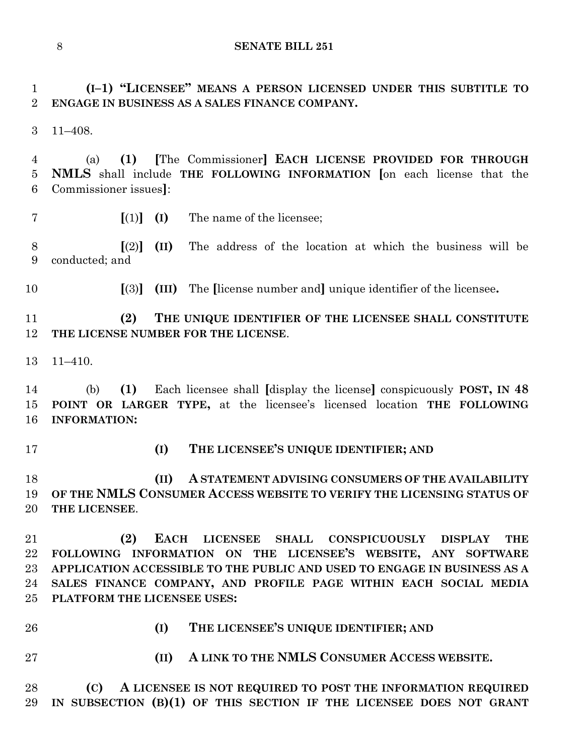**(I–1) "LICENSEE" MEANS A PERSON LICENSED UNDER THIS SUBTITLE TO ENGAGE IN BUSINESS AS A SALES FINANCE COMPANY.**

11–408.

 (a) **(1) [**The Commissioner**] EACH LICENSE PROVIDED FOR THROUGH NMLS** shall include **THE FOLLOWING INFORMATION [**on each license that the Commissioner issues**]**:

**[**(1)**] (I)** The name of the licensee;

 **[**(2)**] (II)** The address of the location at which the business will be conducted; and

**[**(3)**] (III)** The **[**license number and**]** unique identifier of the licensee**.**

 **(2) THE UNIQUE IDENTIFIER OF THE LICENSEE SHALL CONSTITUTE THE LICENSE NUMBER FOR THE LICENSE**.

11–410.

 (b) **(1)** Each licensee shall **[**display the license**]** conspicuously **POST, IN 48 POINT OR LARGER TYPE,** at the licensee's licensed location **THE FOLLOWING INFORMATION:**

**(I) THE LICENSEE'S UNIQUE IDENTIFIER; AND** 

 **(II) A STATEMENT ADVISING CONSUMERS OF THE AVAILABILITY OF THE NMLS CONSUMER ACCESS WEBSITE TO VERIFY THE LICENSING STATUS OF THE LICENSEE**.

 **(2) EACH LICENSEE SHALL CONSPICUOUSLY DISPLAY THE FOLLOWING INFORMATION ON THE LICENSEE'S WEBSITE, ANY SOFTWARE APPLICATION ACCESSIBLE TO THE PUBLIC AND USED TO ENGAGE IN BUSINESS AS A SALES FINANCE COMPANY, AND PROFILE PAGE WITHIN EACH SOCIAL MEDIA PLATFORM THE LICENSEE USES:**

- 
- **(I) THE LICENSEE'S UNIQUE IDENTIFIER; AND**
- 
- **(II) A LINK TO THE NMLS CONSUMER ACCESS WEBSITE.**

 **(C) A LICENSEE IS NOT REQUIRED TO POST THE INFORMATION REQUIRED IN SUBSECTION (B)(1) OF THIS SECTION IF THE LICENSEE DOES NOT GRANT**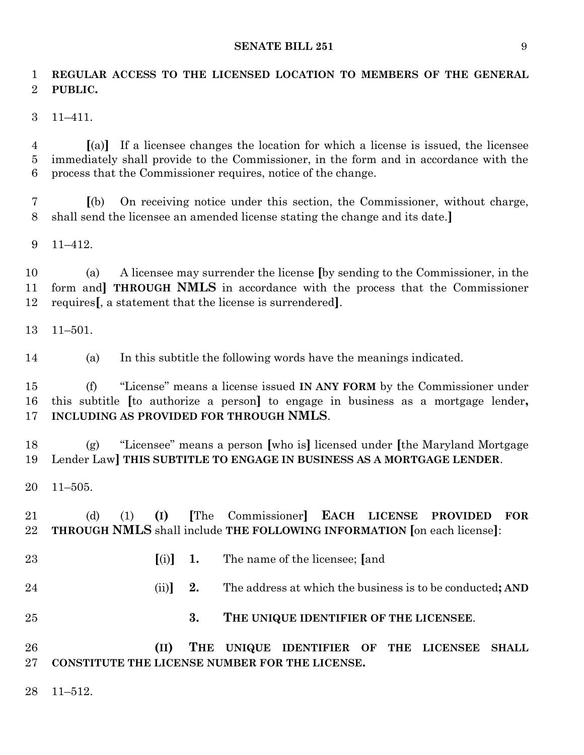**REGULAR ACCESS TO THE LICENSED LOCATION TO MEMBERS OF THE GENERAL PUBLIC.**

11–411.

 **[**(a)**]** If a licensee changes the location for which a license is issued, the licensee immediately shall provide to the Commissioner, in the form and in accordance with the process that the Commissioner requires, notice of the change.

 **[**(b) On receiving notice under this section, the Commissioner, without charge, shall send the licensee an amended license stating the change and its date.**]**

11–412.

 (a) A licensee may surrender the license **[**by sending to the Commissioner, in the form and**] THROUGH NMLS** in accordance with the process that the Commissioner requires**[**, a statement that the license is surrendered**]**.

11–501.

(a) In this subtitle the following words have the meanings indicated.

 (f) "License" means a license issued **IN ANY FORM** by the Commissioner under this subtitle **[**to authorize a person**]** to engage in business as a mortgage lender**, INCLUDING AS PROVIDED FOR THROUGH NMLS**.

 (g) "Licensee" means a person **[**who is**]** licensed under **[**the Maryland Mortgage Lender Law**] THIS SUBTITLE TO ENGAGE IN BUSINESS AS A MORTGAGE LENDER**.

11–505.

 (d) (1) **(I) [**The Commissioner**] EACH LICENSE PROVIDED FOR THROUGH NMLS** shall include **THE FOLLOWING INFORMATION [**on each license**]**:

- **[**(i)**] 1.** The name of the licensee; **[**and (ii)**] 2.** The address at which the business is to be conducted**; AND**
- **3. THE UNIQUE IDENTIFIER OF THE LICENSEE**.

 **(II) THE UNIQUE IDENTIFIER OF THE LICENSEE SHALL CONSTITUTE THE LICENSE NUMBER FOR THE LICENSE.**

11–512.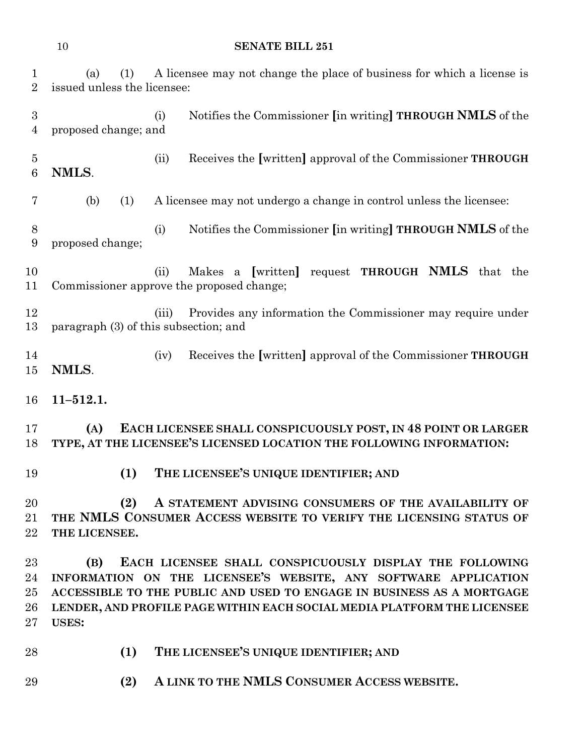| 1<br>$\overline{2}$                | A licensee may not change the place of business for which a license is<br>(1)<br>(a)<br>issued unless the licensee:                                                                                                                                                                                   |
|------------------------------------|-------------------------------------------------------------------------------------------------------------------------------------------------------------------------------------------------------------------------------------------------------------------------------------------------------|
| $\boldsymbol{3}$<br>$\overline{4}$ | Notifies the Commissioner [in writing] THROUGH NMLS of the<br>(i)<br>proposed change; and                                                                                                                                                                                                             |
| $\overline{5}$<br>$\boldsymbol{6}$ | Receives the [written] approval of the Commissioner THROUGH<br>(ii)<br>NMLS.                                                                                                                                                                                                                          |
| 7                                  | (b)<br>A licensee may not undergo a change in control unless the licensee:<br>(1)                                                                                                                                                                                                                     |
| 8<br>$\boldsymbol{9}$              | Notifies the Commissioner [in writing] THROUGH NMLS of the<br>(i)<br>proposed change;                                                                                                                                                                                                                 |
| 10<br>11                           | Makes a [written] request <b>THROUGH NMLS</b> that the<br>(ii)<br>Commissioner approve the proposed change;                                                                                                                                                                                           |
| 12<br>13                           | Provides any information the Commissioner may require under<br>(iii)<br>paragraph (3) of this subsection; and                                                                                                                                                                                         |
| 14<br>15                           | Receives the [written] approval of the Commissioner THROUGH<br>(iv)<br>NMLS.                                                                                                                                                                                                                          |
| 16                                 | $11 - 512.1.$                                                                                                                                                                                                                                                                                         |
| 17<br>18                           | (A)<br>EACH LICENSEE SHALL CONSPICUOUSLY POST, IN 48 POINT OR LARGER<br>TYPE, AT THE LICENSEE'S LICENSED LOCATION THE FOLLOWING INFORMATION:                                                                                                                                                          |
| 19                                 | THE LICENSEE'S UNIQUE IDENTIFIER; AND<br>(1)                                                                                                                                                                                                                                                          |
| 20<br>21<br>22                     | (2)<br>A STATEMENT ADVISING CONSUMERS OF THE AVAILABILITY OF<br>THE NMLS CONSUMER ACCESS WEBSITE TO VERIFY THE LICENSING STATUS OF<br>THE LICENSEE.                                                                                                                                                   |
| 23<br>24<br>25<br>26<br>27         | EACH LICENSEE SHALL CONSPICUOUSLY DISPLAY THE FOLLOWING<br>(B)<br>INFORMATION ON THE LICENSEE'S WEBSITE, ANY SOFTWARE APPLICATION<br>ACCESSIBLE TO THE PUBLIC AND USED TO ENGAGE IN BUSINESS AS A MORTGAGE<br>LENDER, AND PROFILE PAGE WITHIN EACH SOCIAL MEDIA PLATFORM THE LICENSEE<br><b>USES:</b> |
| 28                                 | (1)<br>THE LICENSEE'S UNIQUE IDENTIFIER; AND                                                                                                                                                                                                                                                          |
| 29                                 | A LINK TO THE NMLS CONSUMER ACCESS WEBSITE.<br>(2)                                                                                                                                                                                                                                                    |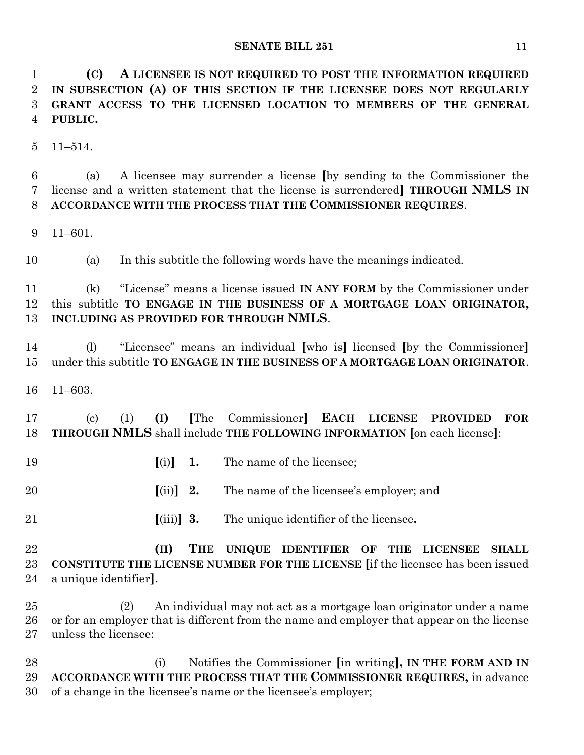**(C) A LICENSEE IS NOT REQUIRED TO POST THE INFORMATION REQUIRED IN SUBSECTION (A) OF THIS SECTION IF THE LICENSEE DOES NOT REGULARLY GRANT ACCESS TO THE LICENSED LOCATION TO MEMBERS OF THE GENERAL PUBLIC.**

11–514.

 (a) A licensee may surrender a license **[**by sending to the Commissioner the license and a written statement that the license is surrendered**] THROUGH NMLS IN ACCORDANCE WITH THE PROCESS THAT THE COMMISSIONER REQUIRES**.

11–601.

(a) In this subtitle the following words have the meanings indicated.

 (k) "License" means a license issued **IN ANY FORM** by the Commissioner under this subtitle **TO ENGAGE IN THE BUSINESS OF A MORTGAGE LOAN ORIGINATOR, INCLUDING AS PROVIDED FOR THROUGH NMLS**.

 (l) "Licensee" means an individual **[**who is**]** licensed **[**by the Commissioner**]** under this subtitle **TO ENGAGE IN THE BUSINESS OF A MORTGAGE LOAN ORIGINATOR**.

11–603.

 (c) (1) **(I) [**The Commissioner**] EACH LICENSE PROVIDED FOR THROUGH NMLS** shall include **THE FOLLOWING INFORMATION [**on each license**]**:

**[**(i)**] 1.** The name of the licensee;

**[**(ii)**] 2.** The name of the licensee's employer; and

**[**(iii)**] 3.** The unique identifier of the licensee**.**

 **(II) THE UNIQUE IDENTIFIER OF THE LICENSEE SHALL CONSTITUTE THE LICENSE NUMBER FOR THE LICENSE [**if the licensee has been issued a unique identifier**]**.

 (2) An individual may not act as a mortgage loan originator under a name or for an employer that is different from the name and employer that appear on the license unless the licensee:

 (i) Notifies the Commissioner **[**in writing**], IN THE FORM AND IN ACCORDANCE WITH THE PROCESS THAT THE COMMISSIONER REQUIRES,** in advance of a change in the licensee's name or the licensee's employer;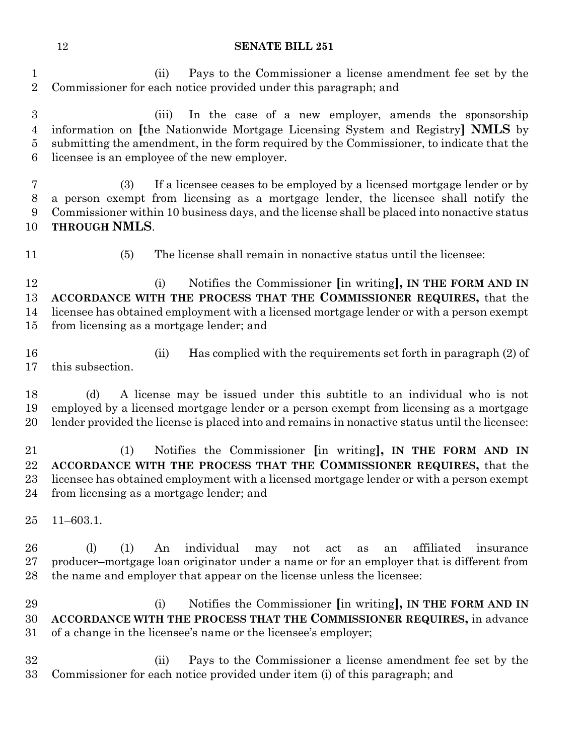(ii) Pays to the Commissioner a license amendment fee set by the Commissioner for each notice provided under this paragraph; and

 (iii) In the case of a new employer, amends the sponsorship information on **[**the Nationwide Mortgage Licensing System and Registry**] NMLS** by submitting the amendment, in the form required by the Commissioner, to indicate that the licensee is an employee of the new employer.

 (3) If a licensee ceases to be employed by a licensed mortgage lender or by a person exempt from licensing as a mortgage lender, the licensee shall notify the Commissioner within 10 business days, and the license shall be placed into nonactive status **THROUGH NMLS**.

(5) The license shall remain in nonactive status until the licensee:

 (i) Notifies the Commissioner **[**in writing**], IN THE FORM AND IN ACCORDANCE WITH THE PROCESS THAT THE COMMISSIONER REQUIRES,** that the licensee has obtained employment with a licensed mortgage lender or with a person exempt from licensing as a mortgage lender; and

 (ii) Has complied with the requirements set forth in paragraph (2) of this subsection.

 (d) A license may be issued under this subtitle to an individual who is not employed by a licensed mortgage lender or a person exempt from licensing as a mortgage lender provided the license is placed into and remains in nonactive status until the licensee:

 (1) Notifies the Commissioner **[**in writing**], IN THE FORM AND IN ACCORDANCE WITH THE PROCESS THAT THE COMMISSIONER REQUIRES,** that the licensee has obtained employment with a licensed mortgage lender or with a person exempt from licensing as a mortgage lender; and

11–603.1.

 (l) (1) An individual may not act as an affiliated insurance producer–mortgage loan originator under a name or for an employer that is different from 28 the name and employer that appear on the license unless the licensee:

 (i) Notifies the Commissioner **[**in writing**], IN THE FORM AND IN ACCORDANCE WITH THE PROCESS THAT THE COMMISSIONER REQUIRES,** in advance of a change in the licensee's name or the licensee's employer;

 (ii) Pays to the Commissioner a license amendment fee set by the Commissioner for each notice provided under item (i) of this paragraph; and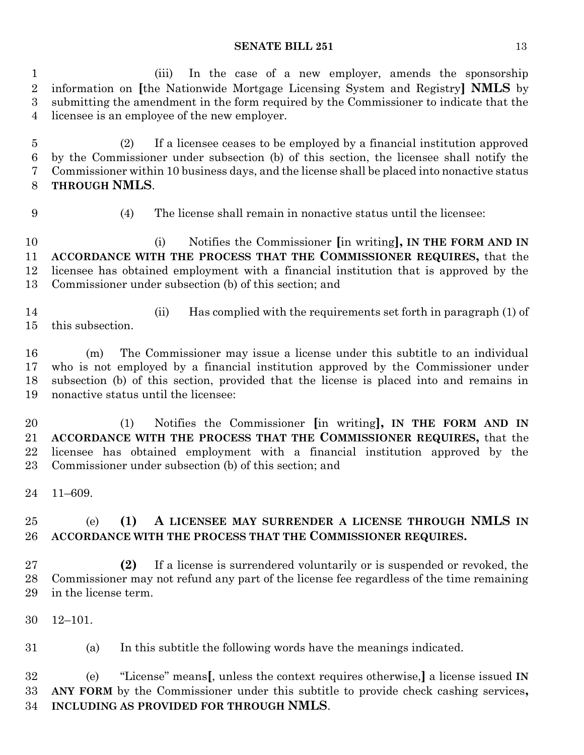(iii) In the case of a new employer, amends the sponsorship information on **[**the Nationwide Mortgage Licensing System and Registry**] NMLS** by submitting the amendment in the form required by the Commissioner to indicate that the licensee is an employee of the new employer.

 (2) If a licensee ceases to be employed by a financial institution approved by the Commissioner under subsection (b) of this section, the licensee shall notify the Commissioner within 10 business days, and the license shall be placed into nonactive status **THROUGH NMLS**.

(4) The license shall remain in nonactive status until the licensee:

 (i) Notifies the Commissioner **[**in writing**], IN THE FORM AND IN ACCORDANCE WITH THE PROCESS THAT THE COMMISSIONER REQUIRES,** that the licensee has obtained employment with a financial institution that is approved by the Commissioner under subsection (b) of this section; and

 (ii) Has complied with the requirements set forth in paragraph (1) of this subsection.

 (m) The Commissioner may issue a license under this subtitle to an individual who is not employed by a financial institution approved by the Commissioner under subsection (b) of this section, provided that the license is placed into and remains in nonactive status until the licensee:

 (1) Notifies the Commissioner **[**in writing**], IN THE FORM AND IN ACCORDANCE WITH THE PROCESS THAT THE COMMISSIONER REQUIRES,** that the licensee has obtained employment with a financial institution approved by the Commissioner under subsection (b) of this section; and

11–609.

# (e) **(1) A LICENSEE MAY SURRENDER A LICENSE THROUGH NMLS IN ACCORDANCE WITH THE PROCESS THAT THE COMMISSIONER REQUIRES.**

 **(2)** If a license is surrendered voluntarily or is suspended or revoked, the Commissioner may not refund any part of the license fee regardless of the time remaining in the license term.

12–101.

(a) In this subtitle the following words have the meanings indicated.

 (e) "License" means**[**, unless the context requires otherwise,**]** a license issued **IN ANY FORM** by the Commissioner under this subtitle to provide check cashing services**, INCLUDING AS PROVIDED FOR THROUGH NMLS**.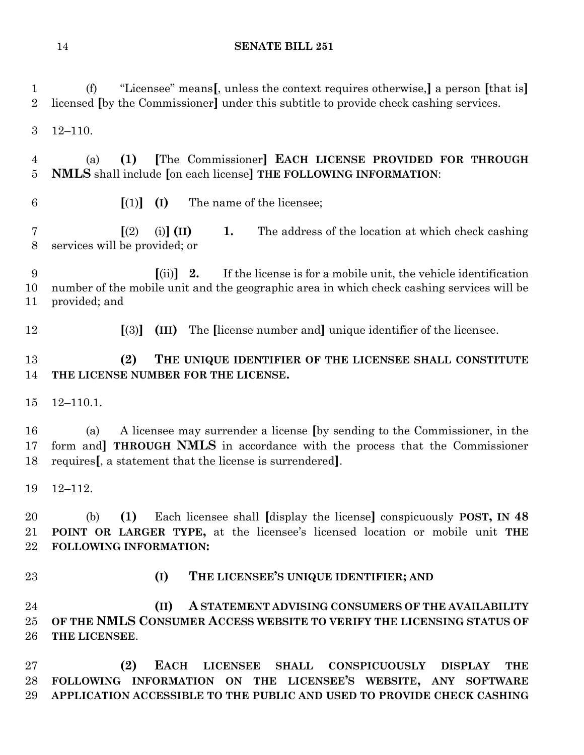| 1<br>$\overline{2}$ | "Licensee" means, unless the context requires otherwise, a person [that is]<br>(f)<br>licensed (by the Commissioner) under this subtitle to provide check cashing services.                                                                              |
|---------------------|----------------------------------------------------------------------------------------------------------------------------------------------------------------------------------------------------------------------------------------------------------|
| 3                   | $12 - 110.$                                                                                                                                                                                                                                              |
| 4<br>5              | [The Commissioner] EACH LICENSE PROVIDED FOR THROUGH<br>(1)<br>(a)<br>NMLS shall include [on each license] THE FOLLOWING INFORMATION:                                                                                                                    |
| 6                   | The name of the licensee;<br>$\lceil (1) \rceil$<br>(I)                                                                                                                                                                                                  |
| 7<br>8              | $\sqrt{(2)}$<br>$(i)$ $(II)$<br>1.<br>The address of the location at which check cashing<br>services will be provided; or                                                                                                                                |
| 9<br>10<br>11       | If the license is for a mobile unit, the vehicle identification<br>$\left[ \text{(ii)} \right]$ 2.<br>number of the mobile unit and the geographic area in which check cashing services will be<br>provided; and                                         |
| 12                  | The license number and unique identifier of the licensee.<br>$\left[ \mathrm{(3)}\right]$<br>(III)                                                                                                                                                       |
| 13<br>14            | (2)<br>THE UNIQUE IDENTIFIER OF THE LICENSEE SHALL CONSTITUTE<br>THE LICENSE NUMBER FOR THE LICENSE.                                                                                                                                                     |
| 15                  | $12 - 110.1.$                                                                                                                                                                                                                                            |
| 16<br>17<br>18      | A licensee may surrender a license (by sending to the Commissioner, in the<br>(a)<br>form and THROUGH NMLS in accordance with the process that the Commissioner<br>requires [, a statement that the license is surrendered].                             |
| 19                  | $12 - 112.$                                                                                                                                                                                                                                              |
| 20<br>21<br>22      | (1)<br>Each licensee shall [display the license] conspicuously POST, IN 48<br>(b)<br>POINT OR LARGER TYPE, at the licensee's licensed location or mobile unit THE<br>FOLLOWING INFORMATION:                                                              |
| 23                  | THE LICENSEE'S UNIQUE IDENTIFIER; AND<br>(I)                                                                                                                                                                                                             |
| 24<br>25<br>26      | A STATEMENT ADVISING CONSUMERS OF THE AVAILABILITY<br>(II)<br>OF THE NMLS CONSUMER ACCESS WEBSITE TO VERIFY THE LICENSING STATUS OF<br>THE LICENSEE.                                                                                                     |
| $27\,$<br>28<br>29  | (2)<br><b>EACH</b><br><b>LICENSEE</b><br><b>SHALL</b><br><b>CONSPICUOUSLY</b><br><b>DISPLAY</b><br><b>THE</b><br>FOLLOWING INFORMATION ON THE LICENSEE'S WEBSITE, ANY SOFTWARE<br>APPLICATION ACCESSIBLE TO THE PUBLIC AND USED TO PROVIDE CHECK CASHING |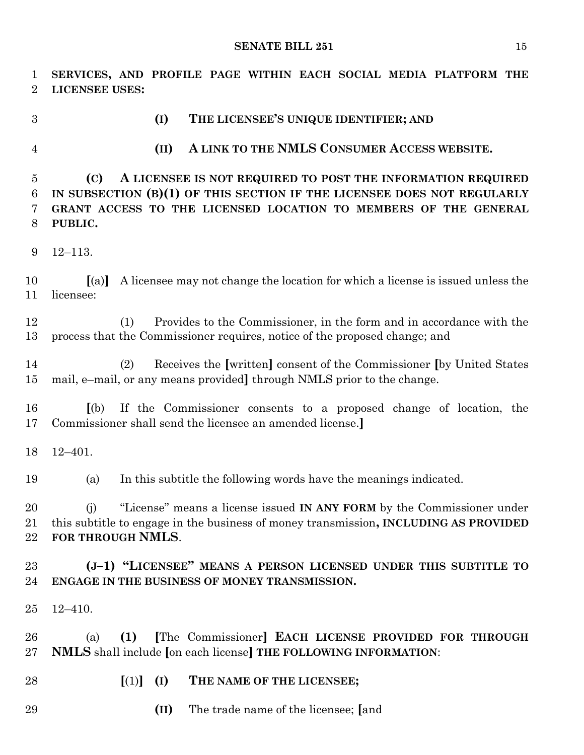**SERVICES, AND PROFILE PAGE WITHIN EACH SOCIAL MEDIA PLATFORM THE LICENSEE USES: (I) THE LICENSEE'S UNIQUE IDENTIFIER; AND (II) A LINK TO THE NMLS CONSUMER ACCESS WEBSITE. (C) A LICENSEE IS NOT REQUIRED TO POST THE INFORMATION REQUIRED IN SUBSECTION (B)(1) OF THIS SECTION IF THE LICENSEE DOES NOT REGULARLY GRANT ACCESS TO THE LICENSED LOCATION TO MEMBERS OF THE GENERAL PUBLIC.** 12–113. **[**(a)**]** A licensee may not change the location for which a license is issued unless the licensee: (1) Provides to the Commissioner, in the form and in accordance with the process that the Commissioner requires, notice of the proposed change; and (2) Receives the **[**written**]** consent of the Commissioner **[**by United States mail, e–mail, or any means provided**]** through NMLS prior to the change. **[**(b) If the Commissioner consents to a proposed change of location, the Commissioner shall send the licensee an amended license.**]** 12–401. (a) In this subtitle the following words have the meanings indicated. (j) "License" means a license issued **IN ANY FORM** by the Commissioner under this subtitle to engage in the business of money transmission**, INCLUDING AS PROVIDED FOR THROUGH NMLS**. **(J–1) "LICENSEE" MEANS A PERSON LICENSED UNDER THIS SUBTITLE TO ENGAGE IN THE BUSINESS OF MONEY TRANSMISSION.** 12–410. (a) **(1) [**The Commissioner**] EACH LICENSE PROVIDED FOR THROUGH NMLS** shall include **[**on each license**] THE FOLLOWING INFORMATION**: **[**(1)**] (I) THE NAME OF THE LICENSEE; (II)** The trade name of the licensee; **[**and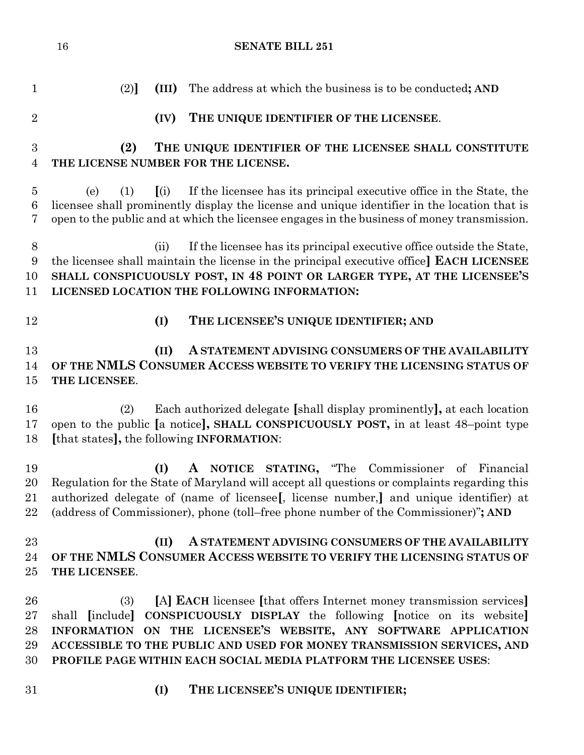| $\mathbf{1}$   | (2)<br>(III)<br>The address at which the business is to be conducted; AND                                                                                                                   |
|----------------|---------------------------------------------------------------------------------------------------------------------------------------------------------------------------------------------|
| $\overline{2}$ | THE UNIQUE IDENTIFIER OF THE LICENSEE.<br>(IV)                                                                                                                                              |
| 3              | THE UNIQUE IDENTIFIER OF THE LICENSEE SHALL CONSTITUTE<br>(2)                                                                                                                               |
| $\overline{4}$ | THE LICENSE NUMBER FOR THE LICENSE.                                                                                                                                                         |
| $\overline{5}$ | If the licensee has its principal executive office in the State, the<br>(i)<br>(e)<br>(1)                                                                                                   |
| 6<br>7         | licensee shall prominently display the license and unique identifier in the location that is<br>open to the public and at which the licensee engages in the business of money transmission. |
| $8\,$          | If the licensee has its principal executive office outside the State,<br>(ii)                                                                                                               |
| 9<br>10        | the licensee shall maintain the license in the principal executive office EACH LICENSEE<br>SHALL CONSPICUOUSLY POST, IN 48 POINT OR LARGER TYPE, AT THE LICENSEE'S                          |
| 11             | LICENSED LOCATION THE FOLLOWING INFORMATION:                                                                                                                                                |
| 12             | THE LICENSEE'S UNIQUE IDENTIFIER; AND<br>(I)                                                                                                                                                |
| 13             | A STATEMENT ADVISING CONSUMERS OF THE AVAILABILITY<br>(II)                                                                                                                                  |
| 14             | OF THE NMLS CONSUMER ACCESS WEBSITE TO VERIFY THE LICENSING STATUS OF                                                                                                                       |
| 15             | THE LICENSEE.                                                                                                                                                                               |
| 16             | Each authorized delegate [shall display prominently], at each location<br>(2)                                                                                                               |
| 17             | open to the public [a notice], SHALL CONSPICUOUSLY POST, in at least 48-point type                                                                                                          |
| 18             | [that states], the following <b>INFORMATION</b> :                                                                                                                                           |
| 19             | A NOTICE STATING, "The Commissioner<br>(I)<br>of Financial                                                                                                                                  |
| 20             | Regulation for the State of Maryland will accept all questions or complaints regarding this                                                                                                 |
| 21<br>22       | authorized delegate of (name of licensee), license number, and unique identifier) at                                                                                                        |
|                | (address of Commissioner), phone (toll–free phone number of the Commissioner)"; AND                                                                                                         |
| 23             | A STATEMENT ADVISING CONSUMERS OF THE AVAILABILITY<br>(II)                                                                                                                                  |
| 24             | OF THE NMLS CONSUMER ACCESS WEBSITE TO VERIFY THE LICENSING STATUS OF                                                                                                                       |
| 25             | THE LICENSEE.                                                                                                                                                                               |
| 26             | [A] EACH licensee [that offers Internet money transmission services]<br>(3)                                                                                                                 |
| 27             | shall [include] CONSPICUOUSLY DISPLAY the following [notice on its website]                                                                                                                 |
| 28             | INFORMATION ON THE LICENSEE'S WEBSITE, ANY SOFTWARE APPLICATION                                                                                                                             |
| 29             | ACCESSIBLE TO THE PUBLIC AND USED FOR MONEY TRANSMISSION SERVICES, AND                                                                                                                      |
| 30             | PROFILE PAGE WITHIN EACH SOCIAL MEDIA PLATFORM THE LICENSEE USES:                                                                                                                           |
| 31             | THE LICENSEE'S UNIQUE IDENTIFIER;<br>(I)                                                                                                                                                    |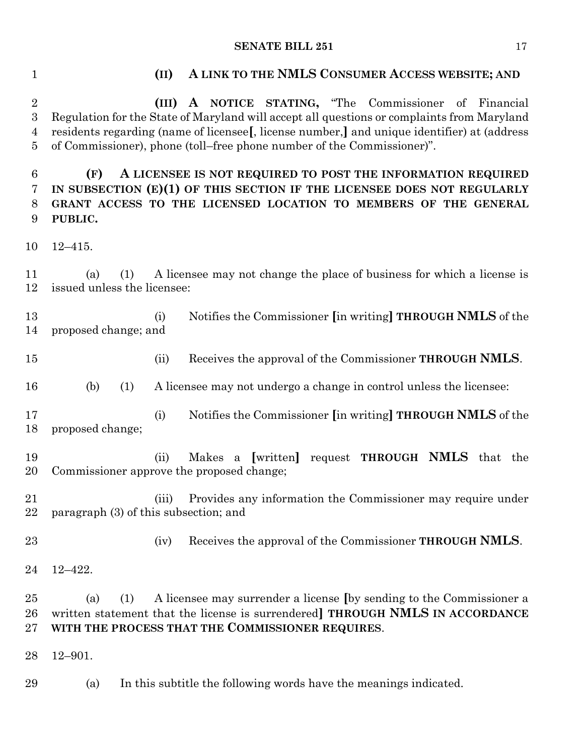### **(II) A LINK TO THE NMLS CONSUMER ACCESS WEBSITE; AND**

 **(III) A NOTICE STATING,** "The Commissioner of Financial Regulation for the State of Maryland will accept all questions or complaints from Maryland residents regarding (name of licensee**[**, license number,**]** and unique identifier) at (address of Commissioner), phone (toll–free phone number of the Commissioner)".

 **(F) A LICENSEE IS NOT REQUIRED TO POST THE INFORMATION REQUIRED IN SUBSECTION (E)(1) OF THIS SECTION IF THE LICENSEE DOES NOT REGULARLY GRANT ACCESS TO THE LICENSED LOCATION TO MEMBERS OF THE GENERAL PUBLIC.**

12–415.

 (a) (1) A licensee may not change the place of business for which a license is issued unless the licensee:

 (i) Notifies the Commissioner **[**in writing**] THROUGH NMLS** of the proposed change; and

(ii) Receives the approval of the Commissioner **THROUGH NMLS**.

(b) (1) A licensee may not undergo a change in control unless the licensee:

 (i) Notifies the Commissioner **[**in writing**] THROUGH NMLS** of the proposed change;

 (ii) Makes a **[**written**]** request **THROUGH NMLS** that the Commissioner approve the proposed change;

 (iii) Provides any information the Commissioner may require under paragraph (3) of this subsection; and

(iv) Receives the approval of the Commissioner **THROUGH NMLS**.

12–422.

 (a) (1) A licensee may surrender a license **[**by sending to the Commissioner a written statement that the license is surrendered**] THROUGH NMLS IN ACCORDANCE WITH THE PROCESS THAT THE COMMISSIONER REQUIRES**.

12–901.

(a) In this subtitle the following words have the meanings indicated.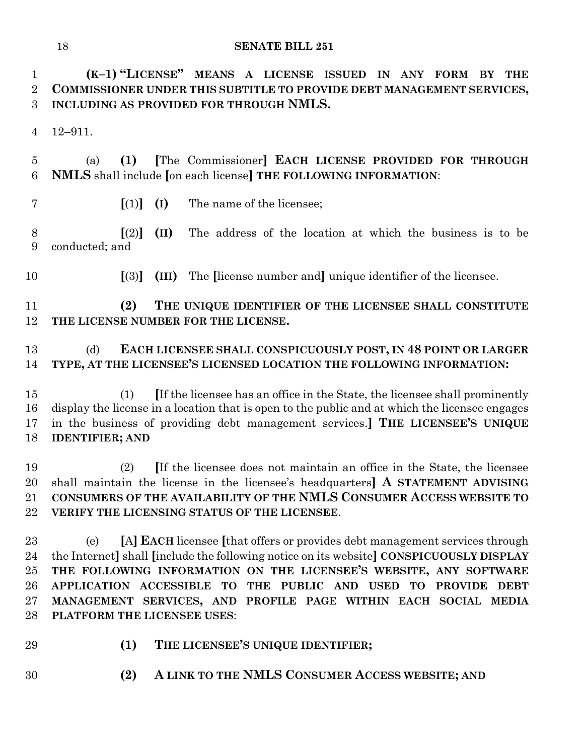**(K–1) "LICENSE" MEANS A LICENSE ISSUED IN ANY FORM BY THE COMMISSIONER UNDER THIS SUBTITLE TO PROVIDE DEBT MANAGEMENT SERVICES, INCLUDING AS PROVIDED FOR THROUGH NMLS.**

12–911.

 (a) **(1) [**The Commissioner**] EACH LICENSE PROVIDED FOR THROUGH NMLS** shall include **[**on each license**] THE FOLLOWING INFORMATION**:

- 
- **[**(1)**] (I)** The name of the licensee;

 **[**(2)**] (II)** The address of the location at which the business is to be conducted; and

**[**(3)**] (III)** The **[**license number and**]** unique identifier of the licensee.

 **(2) THE UNIQUE IDENTIFIER OF THE LICENSEE SHALL CONSTITUTE THE LICENSE NUMBER FOR THE LICENSE.**

# (d) **EACH LICENSEE SHALL CONSPICUOUSLY POST, IN 48 POINT OR LARGER TYPE, AT THE LICENSEE'S LICENSED LOCATION THE FOLLOWING INFORMATION:**

 (1) **[**If the licensee has an office in the State, the licensee shall prominently display the license in a location that is open to the public and at which the licensee engages in the business of providing debt management services.**] THE LICENSEE'S UNIQUE IDENTIFIER; AND**

 (2) **[**If the licensee does not maintain an office in the State, the licensee shall maintain the license in the licensee's headquarters**] A STATEMENT ADVISING CONSUMERS OF THE AVAILABILITY OF THE NMLS CONSUMER ACCESS WEBSITE TO VERIFY THE LICENSING STATUS OF THE LICENSEE**.

 (e) **[**A**] EACH** licensee **[**that offers or provides debt management services through the Internet**]** shall **[**include the following notice on its website**] CONSPICUOUSLY DISPLAY THE FOLLOWING INFORMATION ON THE LICENSEE'S WEBSITE, ANY SOFTWARE APPLICATION ACCESSIBLE TO THE PUBLIC AND USED TO PROVIDE DEBT MANAGEMENT SERVICES, AND PROFILE PAGE WITHIN EACH SOCIAL MEDIA PLATFORM THE LICENSEE USES**:

- 
- **(1) THE LICENSEE'S UNIQUE IDENTIFIER;**
- **(2) A LINK TO THE NMLS CONSUMER ACCESS WEBSITE; AND**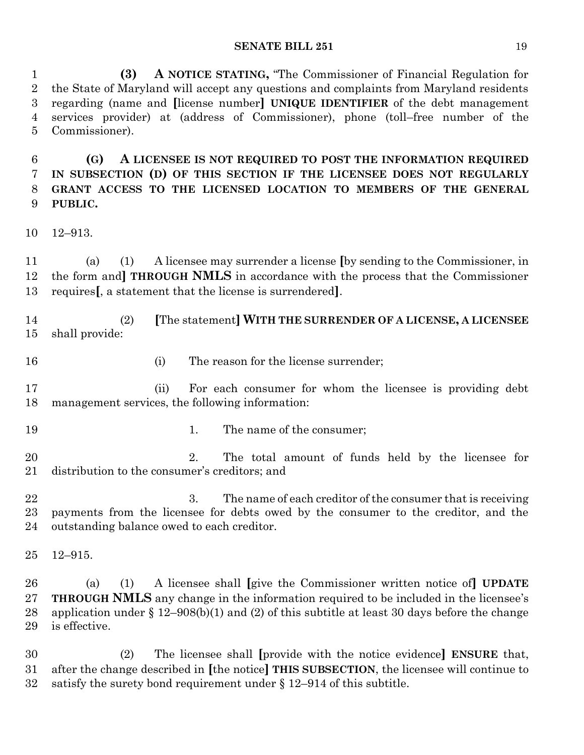**(3) A NOTICE STATING,** "The Commissioner of Financial Regulation for the State of Maryland will accept any questions and complaints from Maryland residents regarding (name and **[**license number**] UNIQUE IDENTIFIER** of the debt management services provider) at (address of Commissioner), phone (toll–free number of the Commissioner).

 **(G) A LICENSEE IS NOT REQUIRED TO POST THE INFORMATION REQUIRED IN SUBSECTION (D) OF THIS SECTION IF THE LICENSEE DOES NOT REGULARLY GRANT ACCESS TO THE LICENSED LOCATION TO MEMBERS OF THE GENERAL PUBLIC.**

12–913.

 (a) (1) A licensee may surrender a license **[**by sending to the Commissioner, in the form and**] THROUGH NMLS** in accordance with the process that the Commissioner requires**[**, a statement that the license is surrendered**]**.

 (2) **[**The statement**] WITH THE SURRENDER OF A LICENSE, A LICENSEE** shall provide:

- 
- 16 (i) The reason for the license surrender;

 (ii) For each consumer for whom the licensee is providing debt management services, the following information:

- 
- 19 1. The name of the consumer;

 2. The total amount of funds held by the licensee for distribution to the consumer's creditors; and

22 3. The name of each creditor of the consumer that is receiving payments from the licensee for debts owed by the consumer to the creditor, and the outstanding balance owed to each creditor.

12–915.

 (a) (1) A licensee shall **[**give the Commissioner written notice of**] UPDATE THROUGH NMLS** any change in the information required to be included in the licensee's application under § 12–908(b)(1) and (2) of this subtitle at least 30 days before the change is effective.

 (2) The licensee shall **[**provide with the notice evidence**] ENSURE** that, after the change described in **[**the notice**] THIS SUBSECTION**, the licensee will continue to 32 satisfy the surety bond requirement under  $\S 12-914$  of this subtitle.